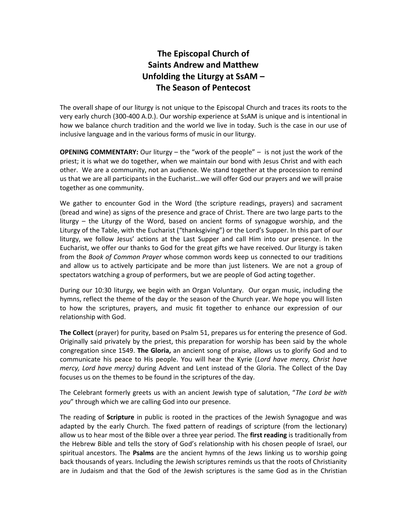## **The Episcopal Church of Saints Andrew and Matthew Unfolding the Liturgy at SsAM – The Season of Pentecost**

The overall shape of our liturgy is not unique to the Episcopal Church and traces its roots to the very early church (300-400 A.D.). Our worship experience at SsAM is unique and is intentional in how we balance church tradition and the world we live in today. Such is the case in our use of inclusive language and in the various forms of music in our liturgy.

**OPENING COMMENTARY:** Our liturgy – the "work of the people" – is not just the work of the priest; it is what we do together, when we maintain our bond with Jesus Christ and with each other. We are a community, not an audience. We stand together at the procession to remind us that we are all participants in the Eucharist…we will offer God our prayers and we will praise together as one community.

We gather to encounter God in the Word (the scripture readings, prayers) and sacrament (bread and wine) as signs of the presence and grace of Christ. There are two large parts to the liturgy – the Liturgy of the Word, based on ancient forms of synagogue worship, and the Liturgy of the Table, with the Eucharist ("thanksgiving") or the Lord's Supper. In this part of our liturgy, we follow Jesus' actions at the Last Supper and call Him into our presence. In the Eucharist, we offer our thanks to God for the great gifts we have received. Our liturgy is taken from the *Book of Common Prayer* whose common words keep us connected to our traditions and allow us to actively participate and be more than just listeners. We are not a group of spectators watching a group of performers, but we are people of God acting together.

During our 10:30 liturgy, we begin with an Organ Voluntary. Our organ music, including the hymns, reflect the theme of the day or the season of the Church year. We hope you will listen to how the scriptures, prayers, and music fit together to enhance our expression of our relationship with God.

**The Collect** (prayer) for purity, based on Psalm 51, prepares us for entering the presence of God. Originally said privately by the priest, this preparation for worship has been said by the whole congregation since 1549. **The Gloria,** an ancient song of praise, allows us to glorify God and to communicate his peace to His people. You will hear the Kyrie (*Lord have mercy, Christ have mercy, Lord have mercy)* during Advent and Lent instead of the Gloria. The Collect of the Day focuses us on the themes to be found in the scriptures of the day.

The Celebrant formerly greets us with an ancient Jewish type of salutation, "*The Lord be with you*" through which we are calling God into our presence.

The reading of **Scripture** in public is rooted in the practices of the Jewish Synagogue and was adapted by the early Church. The fixed pattern of readings of scripture (from the lectionary) allow us to hear most of the Bible over a three year period. The **first reading** is traditionally from the Hebrew Bible and tells the story of God's relationship with his chosen people of Israel, our spiritual ancestors. The **Psalms** are the ancient hymns of the Jews linking us to worship going back thousands of years. Including the Jewish scriptures reminds us that the roots of Christianity are in Judaism and that the God of the Jewish scriptures is the same God as in the Christian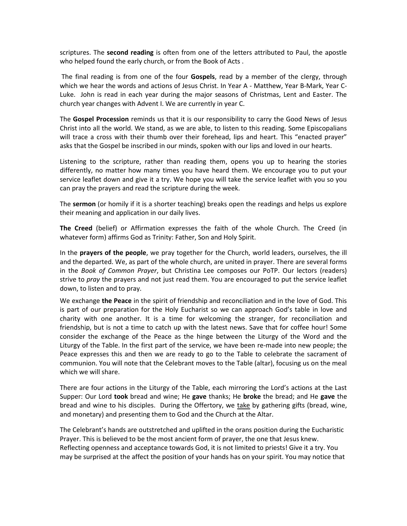scriptures. The **second reading** is often from one of the letters attributed to Paul, the apostle who helped found the early church, or from the Book of Acts .

The final reading is from one of the four **Gospels**, read by a member of the clergy, through which we hear the words and actions of Jesus Christ. In Year A - Matthew, Year B-Mark, Year C-Luke. John is read in each year during the major seasons of Christmas, Lent and Easter. The church year changes with Advent I. We are currently in year C.

The **Gospel Procession** reminds us that it is our responsibility to carry the Good News of Jesus Christ into all the world. We stand, as we are able, to listen to this reading. Some Episcopalians will trace a cross with their thumb over their forehead, lips and heart. This "enacted prayer" asks that the Gospel be inscribed in our minds, spoken with our lips and loved in our hearts.

Listening to the scripture, rather than reading them, opens you up to hearing the stories differently, no matter how many times you have heard them. We encourage you to put your service leaflet down and give it a try. We hope you will take the service leaflet with you so you can pray the prayers and read the scripture during the week.

The **sermon** (or homily if it is a shorter teaching) breaks open the readings and helps us explore their meaning and application in our daily lives.

**The Creed** (belief) or Affirmation expresses the faith of the whole Church. The Creed (in whatever form) affirms God as Trinity: Father, Son and Holy Spirit.

In the **prayers of the people**, we pray together for the Church, world leaders, ourselves, the ill and the departed. We, as part of the whole church, are united in prayer. There are several forms in the *Book of Common Prayer*, but Christina Lee composes our PoTP. Our lectors (readers) strive to *pray* the prayers and not just read them. You are encouraged to put the service leaflet down, to listen and to pray.

We exchange **the Peace** in the spirit of friendship and reconciliation and in the love of God. This is part of our preparation for the Holy Eucharist so we can approach God's table in love and charity with one another. It is a time for welcoming the stranger, for reconciliation and friendship, but is not a time to catch up with the latest news. Save that for coffee hour! Some consider the exchange of the Peace as the hinge between the Liturgy of the Word and the Liturgy of the Table. In the first part of the service, we have been re-made into new people; the Peace expresses this and then we are ready to go to the Table to celebrate the sacrament of communion. You will note that the Celebrant moves to the Table (altar), focusing us on the meal which we will share.

There are four actions in the Liturgy of the Table, each mirroring the Lord's actions at the Last Supper: Our Lord **took** bread and wine; He **gave** thanks; He **broke** the bread; and He **gave** the bread and wine to his disciples. During the Offertory, we take by gathering gifts (bread, wine, and monetary) and presenting them to God and the Church at the Altar.

The Celebrant's hands are outstretched and uplifted in the orans position during the Eucharistic Prayer. This is believed to be the most ancient form of prayer, the one that Jesus knew. Reflecting openness and acceptance towards God, it is not limited to priests! Give it a try. You may be surprised at the affect the position of your hands has on your spirit. You may notice that